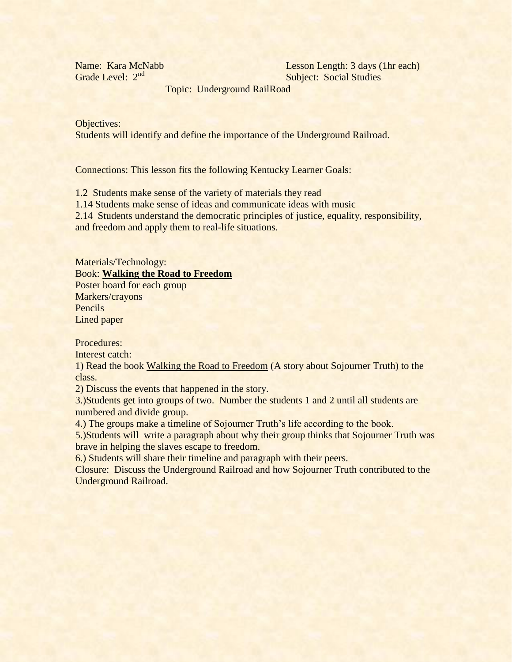Topic: Underground RailRoad

Objectives:

Students will identify and define the importance of the Underground Railroad.

Connections: This lesson fits the following Kentucky Learner Goals:

1.2 Students make sense of the variety of materials they read

1.14 Students make sense of ideas and communicate ideas with music

2.14 Students understand the democratic principles of justice, equality, responsibility, and freedom and apply them to real-life situations.

Materials/Technology: Book: **Walking the Road to Freedom** Poster board for each group Markers/crayons

Pencils Lined paper

Procedures:

Interest catch:

1) Read the book Walking the Road to Freedom (A story about Sojourner Truth) to the class.

2) Discuss the events that happened in the story.

3.)Students get into groups of two. Number the students 1 and 2 until all students are numbered and divide group.

4.) The groups make a timeline of Sojourner Truth's life according to the book.

5.)Students will write a paragraph about why their group thinks that Sojourner Truth was brave in helping the slaves escape to freedom.

6.) Students will share their timeline and paragraph with their peers.

Closure: Discuss the Underground Railroad and how Sojourner Truth contributed to the Underground Railroad.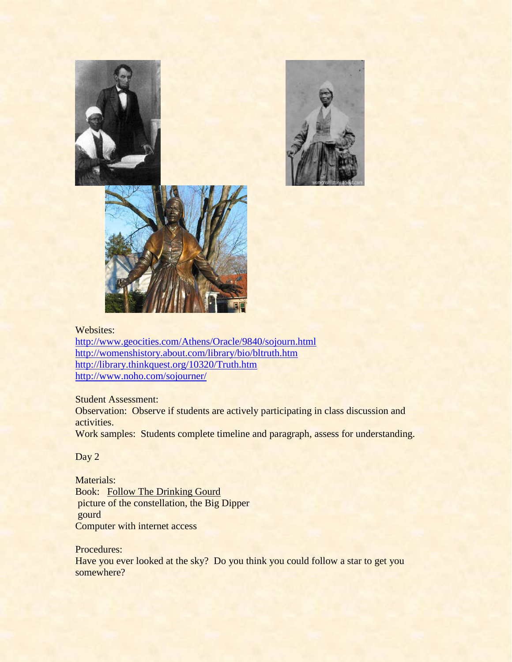





#### Websites:

<http://www.geocities.com/Athens/Oracle/9840/sojourn.html> <http://womenshistory.about.com/library/bio/bltruth.htm> <http://library.thinkquest.org/10320/Truth.htm> <http://www.noho.com/sojourner/>

### Student Assessment:

Observation: Observe if students are actively participating in class discussion and activities.

Work samples: Students complete timeline and paragraph, assess for understanding.

## Day 2

Materials: Book: Follow The Drinking Gourd picture of the constellation, the Big Dipper gourd Computer with internet access

#### Procedures:

Have you ever looked at the sky? Do you think you could follow a star to get you somewhere?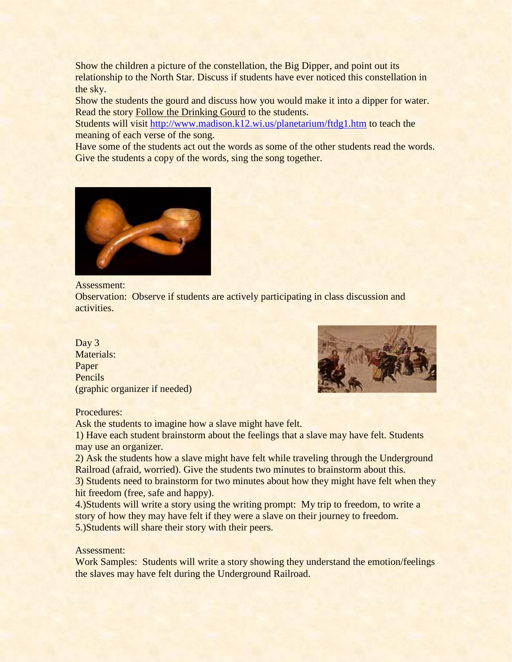Show the children a picture of the constellation, the Big Dipper, and point out its relationship to the North Star. Discuss if students have ever noticed this constellation in the sky.

Show the students the gourd and discuss how you would make it into a dipper for water. Read the story Follow the Drinking Gourd to the students.

Students will visit<http://www.madison.k12.wi.us/planetarium/ftdg1.htm> to teach the meaning of each verse of the song.

Have some of the students act out the words as some of the other students read the words. Give the students a copy of the words, sing the song together.



Assessment:

Observation: Observe if students are actively participating in class discussion and activities.

# Day 3 Materials: Paper Pencils (graphic organizer if needed)



Procedures:

Ask the students to imagine how a slave might have felt.

1) Have each student brainstorm about the feelings that a slave may have felt. Students may use an organizer.

2) Ask the students how a slave might have felt while traveling through the Underground Railroad (afraid, worried). Give the students two minutes to brainstorm about this.

3) Students need to brainstorm for two minutes about how they might have felt when they hit freedom (free, safe and happy).

4.)Students will write a story using the writing prompt: My trip to freedom, to write a story of how they may have felt if they were a slave on their journey to freedom. 5.)Students will share their story with their peers.

## Assessment:

Work Samples: Students will write a story showing they understand the emotion/feelings the slaves may have felt during the Underground Railroad.